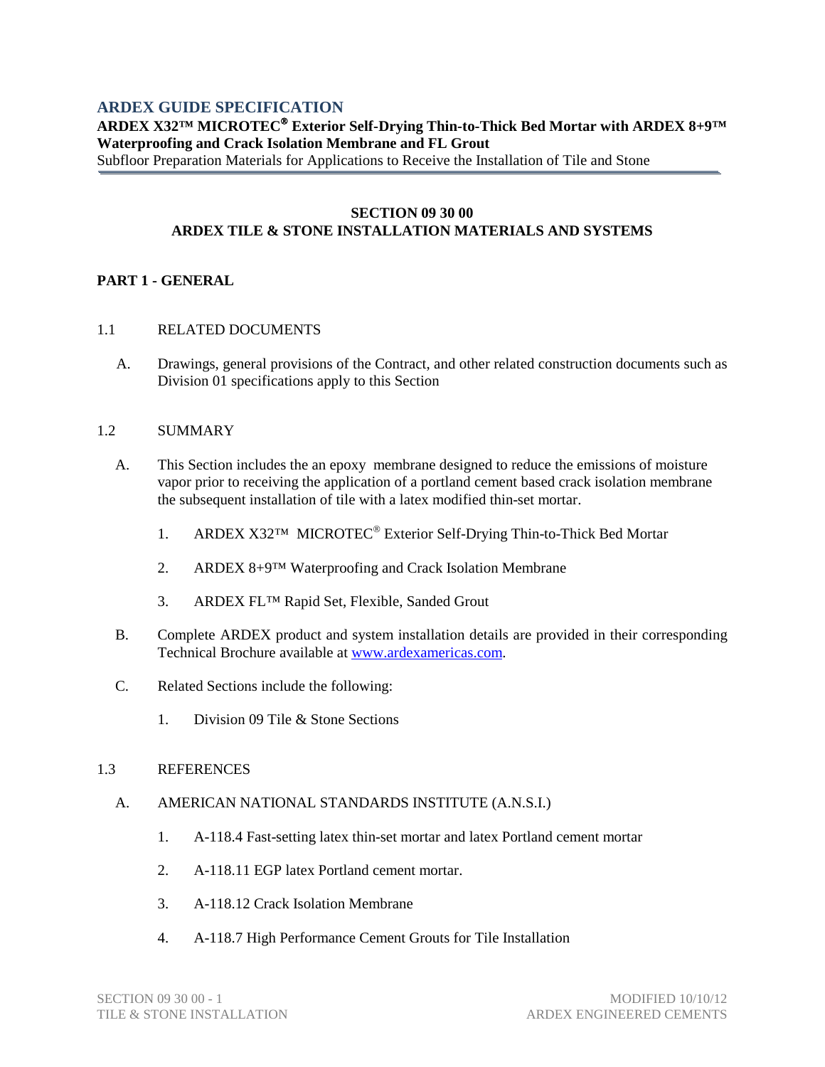# **ARDEX GUIDE SPECIFICATION**

# **ARDEX X32™ MICROTEC Exterior Self-Drying Thin-to-Thick Bed Mortar with ARDEX 8+9™ Waterproofing and Crack Isolation Membrane and FL Grout**

Subfloor Preparation Materials for Applications to Receive the Installation of Tile and Stone

#### **SECTION 09 30 00 ARDEX TILE & STONE INSTALLATION MATERIALS AND SYSTEMS**

# **PART 1 - GENERAL**

#### 1.1 RELATED DOCUMENTS

A. Drawings, general provisions of the Contract, and other related construction documents such as Division 01 specifications apply to this Section

#### 1.2 SUMMARY

- A. This Section includes the an epoxy membrane designed to reduce the emissions of moisture vapor prior to receiving the application of a portland cement based crack isolation membrane the subsequent installation of tile with a latex modified thin-set mortar.
	- 1. ARDEX X32™ MICROTEC<sup>®</sup> Exterior Self-Drying Thin-to-Thick Bed Mortar
	- 2. ARDEX 8+9™ Waterproofing and Crack Isolation Membrane
	- 3. ARDEX FL™ Rapid Set, Flexible, Sanded Grout
- B. Complete ARDEX product and system installation details are provided in their corresponding Technical Brochure available at [www.ardexamericas.com.](http://www.ardexamericas.com/)
- C. Related Sections include the following:
	- 1. Division 09 Tile & Stone Sections

#### 1.3 REFERENCES

#### A. AMERICAN NATIONAL STANDARDS INSTITUTE (A.N.S.I.)

- 1. A-118.4 Fast-setting latex thin-set mortar and latex Portland cement mortar
- 2. A-118.11 EGP latex Portland cement mortar.
- 3. A-118.12 Crack Isolation Membrane
- 4. A-118.7 High Performance Cement Grouts for Tile Installation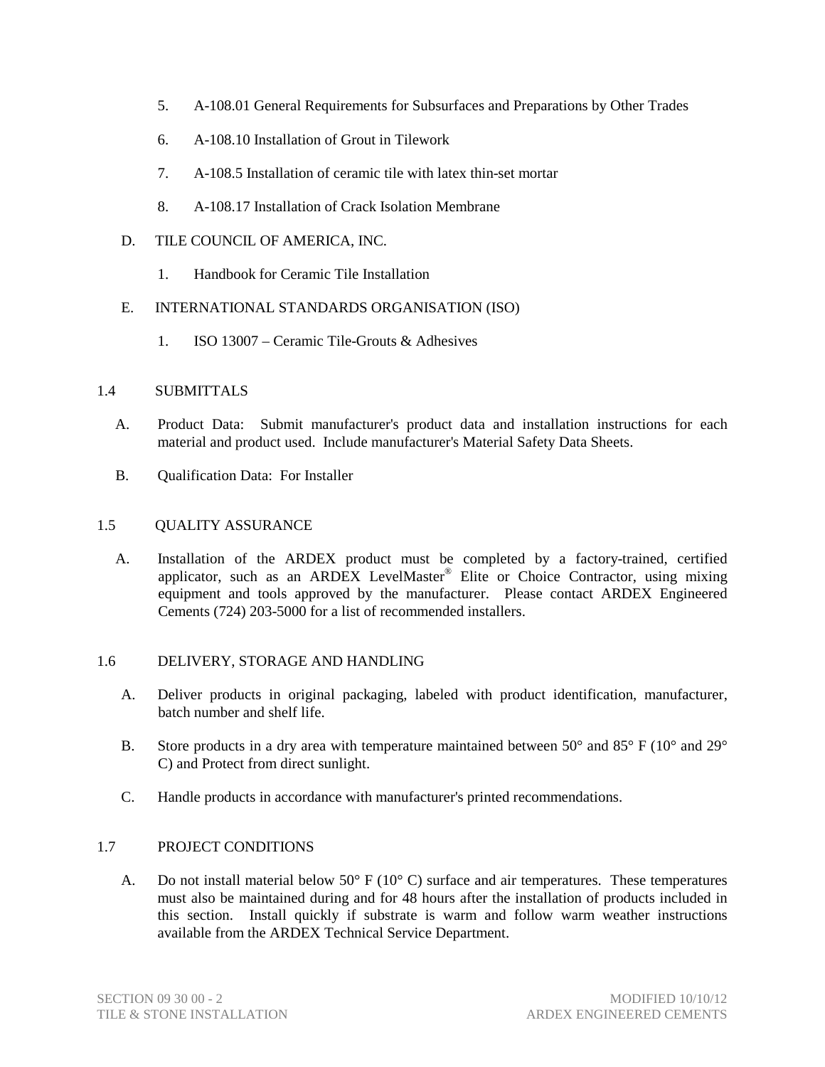- 5. A-108.01 General Requirements for Subsurfaces and Preparations by Other Trades
- 6. A-108.10 Installation of Grout in Tilework
- 7. A-108.5 Installation of ceramic tile with latex thin-set mortar
- 8. A-108.17 Installation of Crack Isolation Membrane
- D. TILE COUNCIL OF AMERICA, INC.
	- 1. Handbook for Ceramic Tile Installation

# E. INTERNATIONAL STANDARDS ORGANISATION (ISO)

1. ISO 13007 – Ceramic Tile-Grouts & Adhesives

#### 1.4 SUBMITTALS

- A. Product Data: Submit manufacturer's product data and installation instructions for each material and product used. Include manufacturer's Material Safety Data Sheets.
- B. Qualification Data: For Installer

#### 1.5 QUALITY ASSURANCE

A. Installation of the ARDEX product must be completed by a factory-trained, certified applicator, such as an ARDEX LevelMaster® Elite or Choice Contractor, using mixing equipment and tools approved by the manufacturer. Please contact ARDEX Engineered Cements (724) 203-5000 for a list of recommended installers.

#### 1.6 DELIVERY, STORAGE AND HANDLING

- A. Deliver products in original packaging, labeled with product identification, manufacturer, batch number and shelf life.
- B. Store products in a dry area with temperature maintained between 50 $^{\circ}$  and 85 $^{\circ}$  F (10 $^{\circ}$  and 29 $^{\circ}$ ) C) and Protect from direct sunlight.
- C. Handle products in accordance with manufacturer's printed recommendations.

#### 1.7 PROJECT CONDITIONS

A. Do not install material below  $50^{\circ}$  F ( $10^{\circ}$  C) surface and air temperatures. These temperatures must also be maintained during and for 48 hours after the installation of products included in this section. Install quickly if substrate is warm and follow warm weather instructions available from the ARDEX Technical Service Department.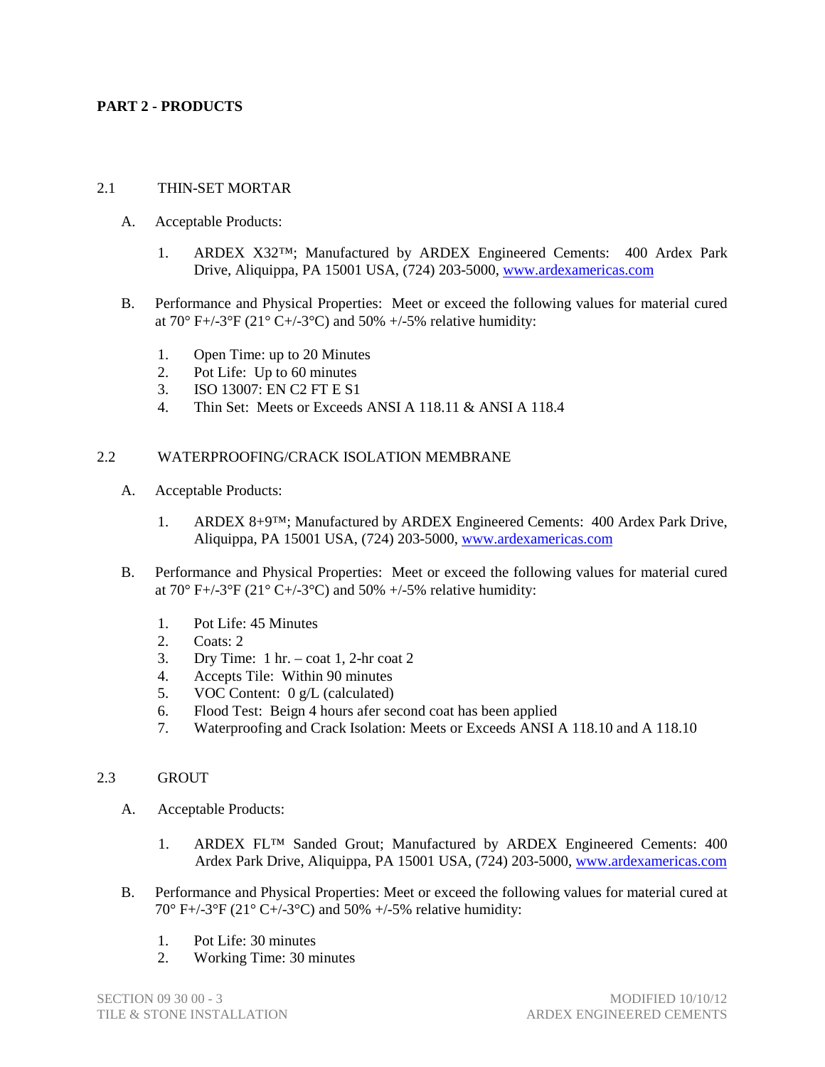# **PART 2 - PRODUCTS**

#### 2.1 THIN-SET MORTAR

- A. Acceptable Products:
	- 1. ARDEX X32™; Manufactured by ARDEX Engineered Cements: 400 Ardex Park Drive, Aliquippa, PA 15001 USA, (724) 203-5000, [www.ardexamericas.com](http://www.ardexamericas.com/)
- B. Performance and Physical Properties: Meet or exceed the following values for material cured at  $70^{\circ}$  F+/-3°F (21° C+/-3°C) and 50% +/-5% relative humidity:
	- 1. Open Time: up to 20 Minutes
	- 2. Pot Life: Up to 60 minutes
	- 3. ISO 13007: EN C2 FT E S1
	- 4. Thin Set: Meets or Exceeds ANSI A 118.11 & ANSI A 118.4

#### 2.2 WATERPROOFING/CRACK ISOLATION MEMBRANE

- A. Acceptable Products:
	- 1. ARDEX 8+9™; Manufactured by ARDEX Engineered Cements: 400 Ardex Park Drive, Aliquippa, PA 15001 USA, (724) 203-5000, [www.ardexamericas.com](http://www.ardexamericas.com/)
- B. Performance and Physical Properties: Meet or exceed the following values for material cured at  $70^{\circ}$  F+/-3°F (21° C+/-3°C) and 50% +/-5% relative humidity:
	- 1. Pot Life: 45 Minutes
	- 2. Coats: 2.
	- 3. Dry Time: 1 hr. coat 1, 2-hr coat 2
	- 4. Accepts Tile: Within 90 minutes
	- 5. VOC Content: 0 g/L (calculated)
	- 6. Flood Test: Beign 4 hours afer second coat has been applied
	- 7. Waterproofing and Crack Isolation: Meets or Exceeds ANSI A 118.10 and A 118.10

# 2.3 GROUT

- A. Acceptable Products:
	- 1. ARDEX FL™ Sanded Grout; Manufactured by ARDEX Engineered Cements: 400 Ardex Park Drive, Aliquippa, PA 15001 USA, (724) 203-5000, [www.ardexamericas.com](http://www.ardexamericas.com/)
- B. Performance and Physical Properties: Meet or exceed the following values for material cured at 70° F+/-3°F (21° C+/-3°C) and 50% +/-5% relative humidity:
	- 1. Pot Life: 30 minutes
	- 2. Working Time: 30 minutes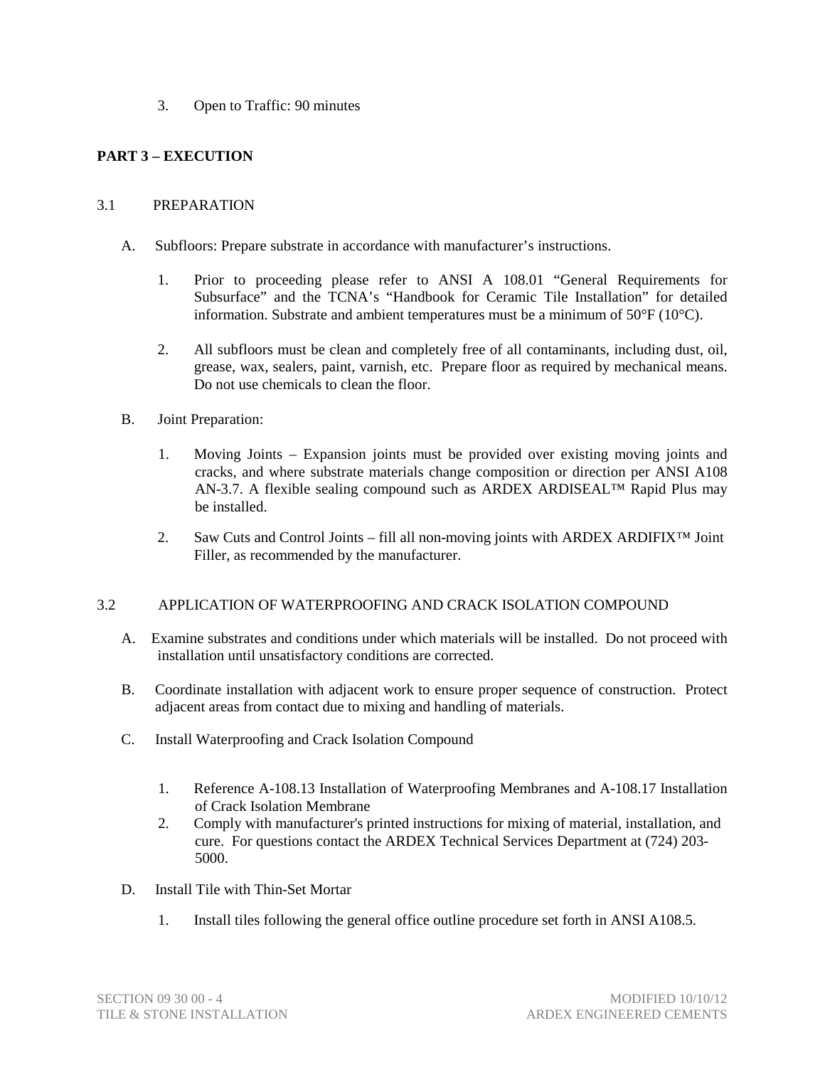3. Open to Traffic: 90 minutes

# **PART 3 – EXECUTION**

#### 3.1 PREPARATION

- A. Subfloors: Prepare substrate in accordance with manufacturer's instructions.
	- 1. Prior to proceeding please refer to ANSI A 108.01 "General Requirements for Subsurface" and the TCNA's "Handbook for Ceramic Tile Installation" for detailed information. Substrate and ambient temperatures must be a minimum of  $50^{\circ}$ F (10 $^{\circ}$ C).
	- 2. All subfloors must be clean and completely free of all contaminants, including dust, oil, grease, wax, sealers, paint, varnish, etc. Prepare floor as required by mechanical means. Do not use chemicals to clean the floor.
- B. Joint Preparation:
	- 1. Moving Joints Expansion joints must be provided over existing moving joints and cracks, and where substrate materials change composition or direction per ANSI A108 AN-3.7. A flexible sealing compound such as ARDEX ARDISEAL™ Rapid Plus may be installed.
	- 2. Saw Cuts and Control Joints fill all non-moving joints with ARDEX ARDIFIX™ Joint Filler, as recommended by the manufacturer.

# 3.2 APPLICATION OF WATERPROOFING AND CRACK ISOLATION COMPOUND

- A. Examine substrates and conditions under which materials will be installed. Do not proceed with installation until unsatisfactory conditions are corrected.
- B. Coordinate installation with adjacent work to ensure proper sequence of construction. Protect adjacent areas from contact due to mixing and handling of materials.
- C. Install Waterproofing and Crack Isolation Compound
	- 1. Reference A-108.13 Installation of Waterproofing Membranes and A-108.17 Installation of Crack Isolation Membrane
	- 2. Comply with manufacturer's printed instructions for mixing of material, installation, and cure. For questions contact the ARDEX Technical Services Department at (724) 203- 5000.
- D. Install Tile with Thin-Set Mortar
	- 1. Install tiles following the general office outline procedure set forth in ANSI A108.5.